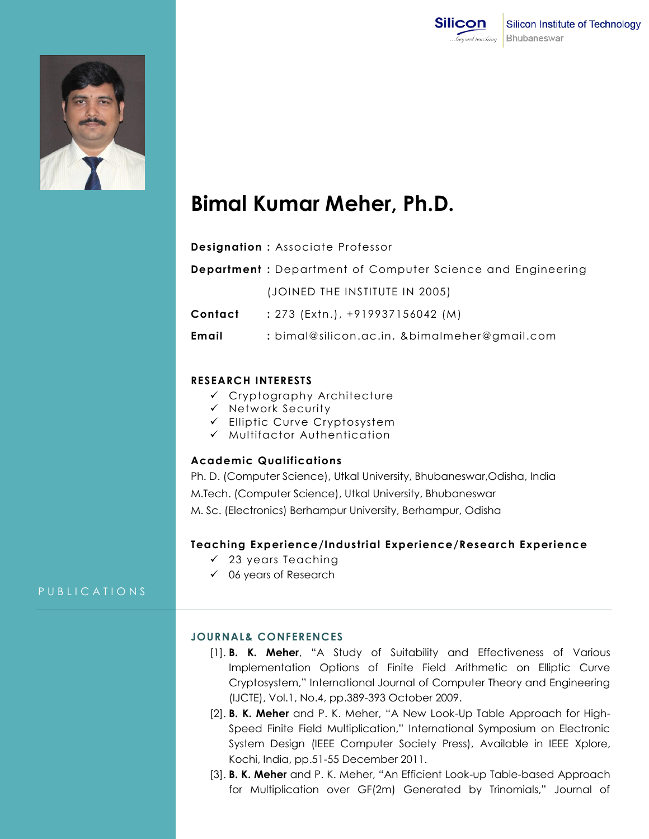



# **Bimal Kumar Meher, Ph.D.**

| <b>Designation: Associate Professor</b> |  |  |  |
|-----------------------------------------|--|--|--|
|-----------------------------------------|--|--|--|

**Department :** Department of Computer Science and Engineering

(JOINED THE INSTITUTE IN 2005)

**Contact :** 273 (Extn.), +919937156042 (M)

**Email :** bimal@silicon.ac.in, &bimalmeher@gmail.com

## **RESEARCH INTERESTS**

- Cryptography Architecture
- $\checkmark$  Network Security
- Elliptic Curve Cryptosystem
- $\checkmark$  Multifactor Authentication

### **Academic Qualifications**

Ph. D. (Computer Science), Utkal University, Bhubaneswar,Odisha, India M.Tech. (Computer Science), Utkal University, Bhubaneswar M. Sc. (Electronics) Berhampur University, Berhampur, Odisha

#### **Teaching Experience/Industrial Experience/Research Experience**

- $\checkmark$  23 years Teaching
- $\checkmark$  06 years of Research

PUBLICATIONS

## **JOURNAL& CONFERENCES**

- [1]. **B. K. Meher**, "A Study of Suitability and Effectiveness of Various Implementation Options of Finite Field Arithmetic on Elliptic Curve Cryptosystem," International Journal of Computer Theory and Engineering (IJCTE), Vol.1, No.4, pp.389-393 October 2009.
- [2]. **B. K. Meher** and P. K. Meher, "A New Look-Up Table Approach for High-Speed Finite Field Multiplication," International Symposium on Electronic System Design (IEEE Computer Society Press), Available in IEEE Xplore, Kochi, India, pp.51-55 December 2011.
- [3]. **B. K. Meher** and P. K. Meher, "An Efficient Look-up Table-based Approach for Multiplication over GF(2m) Generated by Trinomials," Journal of